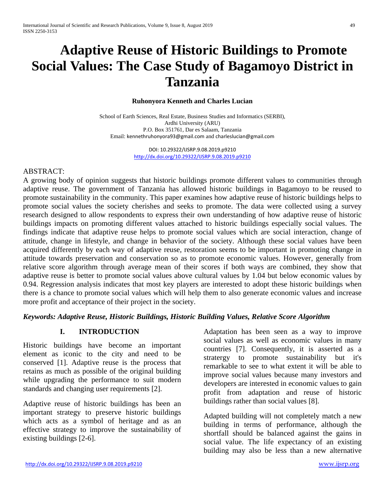# **Adaptive Reuse of Historic Buildings to Promote Social Values: The Case Study of Bagamoyo District in Tanzania**

#### **Ruhonyora Kenneth and Charles Lucian**

School of Earth Sciences, Real Estate, Business Studies and Informatics (SERBI), Ardhi University (ARU) P.O. Box 351761, Dar es Salaam, Tanzania Email: [kennethruhonyora93@gmail.com](mailto:kennethruhonyora93@gmail.com) and [charleslucian@gmail.com](mailto:charleslucian@gmail.com)

> DOI: 10.29322/IJSRP.9.08.2019.p9210 <http://dx.doi.org/10.29322/IJSRP.9.08.2019.p9210>

#### ABSTRACT:

A growing body of opinion suggests that historic buildings promote different values to communities through adaptive reuse. The government of Tanzania has allowed historic buildings in Bagamoyo to be reused to promote sustainability in the community. This paper examines how adaptive reuse of historic buildings helps to promote social values the society cherishes and seeks to promote. The data were collected using a survey research designed to allow respondents to express their own understanding of how adaptive reuse of historic buildings impacts on promoting different values attached to historic buildings especially social values. The findings indicate that adaptive reuse helps to promote social values which are social interaction, change of attitude, change in lifestyle, and change in behavior of the society. Although these social values have been acquired differently by each way of adaptive reuse, restoration seems to be important in promoting change in attitude towards preservation and conservation so as to promote economic values. However, generally from relative score algorithm through average mean of their scores if both ways are combined, they show that adaptive reuse is better to promote social values above cultural values by 1.04 but below economic values by 0.94. Regression analysis indicates that most key players are interested to adopt these historic buildings when there is a chance to promote social values which will help them to also generate economic values and increase more profit and acceptance of their project in the society.

#### *Keywords: Adaptive Reuse, Historic Buildings, Historic Building Values, Relative Score Algorithm*

#### **I. INTRODUCTION**

Historic buildings have become an important element as iconic to the city and need to be conserved [1]. Adaptive reuse is the process that retains as much as possible of the original building while upgrading the performance to suit modern standards and changing user requirements [2].

Adaptive reuse of historic buildings has been an important strategy to preserve historic buildings which acts as a symbol of heritage and as an effective strategy to improve the sustainability of existing buildings [2-6].

Adaptation has been seen as a way to improve social values as well as economic values in many countries [7]. Consequently, it is asserted as a stratergy to promote sustainability but it's remarkable to see to what extent it will be able to improve social values because many investors and developers are interested in economic values to gain profit from adaptation and reuse of historic buildings rather than social values [8].

Adapted building will not completely match a new building in terms of performance, although the shortfall should be balanced against the gains in social value. The life expectancy of an existing building may also be less than a new alternative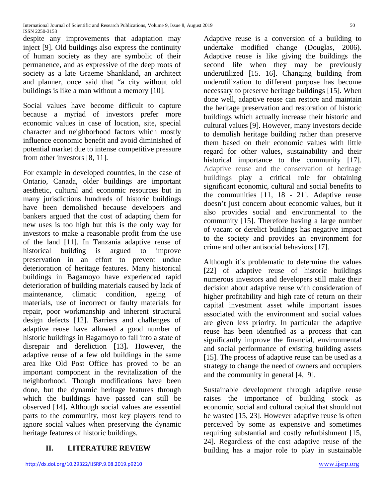despite any improvements that adaptation may inject [9]. Old buildings also express the continuity of human society as they are symbolic of their permanence, and as expressive of the deep roots of society as a late Graeme Shankland, an architect and planner, once said that "a city without old buildings is like a man without a memory [10].

Social values have become difficult to capture because a myriad of investors prefer more economic values in case of location, site, special character and neighborhood factors which mostly influence economic benefit and avoid diminished of potential market due to intense competitive pressure from other investors [8, 11].

For example in developed countries, in the case of Ontario, Canada, older buildings are important aesthetic, cultural and economic resources but in many jurisdictions hundreds of historic buildings have been demolished because developers and bankers argued that the cost of adapting them for new uses is too high but this is the only way for investors to make a reasonable profit from the use of the land [11]. In Tanzania adaptive reuse of historical building is argued to improve preservation in an effort to prevent undue deterioration of heritage features. Many historical buildings in Bagamoyo have experienced rapid deterioration of building materials caused by lack of maintenance, climatic condition, ageing of materials, use of incorrect or faulty materials for repair, poor workmanship and inherent structural design defects [12]. Barriers and challenges of adaptive reuse have allowed a good number of historic buildings in Bagamoyo to fall into a state of disrepair and dereliction [13]**.** However, the adaptive reuse of a few old buildings in the same area like Old Post Office has proved to be an important component in the revitalization of the neighborhood. Though modifications have been done, but the dynamic heritage features through which the buildings have passed can still be observed [14]**.** Although social values are essential parts to the community, most key players tend to ignore social values when preserving the dynamic heritage features of historic buildings.

# **II. LITERATURE REVIEW**

Adaptive reuse is a conversion of a building to undertake modified change (Douglas, 2006). Adaptive reuse is like giving the buildings the second life when they may be previously underutilized [15. 16]. Changing building from underutilization to different purpose has become necessary to preserve heritage buildings [15]. When done well, adaptive reuse can restore and maintain the heritage preservation and restoration of historic buildings which actually increase their historic and cultural values [9]. However, many investors decide to demolish heritage building rather than preserve them based on their economic values with little regard for other values, sustainability and their historical importance to the community [17]. Adaptive reuse and the conservation of heritage buildings play a critical role for obtaining significant economic, cultural and social benefits to the communities [11, 18 - 21]. Adaptive reuse doesn't just concern about economic values, but it also provides social and environmental to the community [15]. Therefore having a large number of vacant or derelict buildings has negative impact to the society and provides an environment for crime and other antisocial behaviors [17].

Although it's problematic to determine the values [22] of adaptive reuse of historic buildings numerous investors and developers still make their decision about adaptive reuse with consideration of higher profitability and high rate of return on their capital investment asset while important issues associated with the environment and social values are given less priority. In particular the adaptive reuse has been identified as a process that can significantly improve the financial, environmental and social performance of existing building assets [15]. The process of adaptive reuse can be used as a strategy to change the need of owners and occupiers and the community in general [4, 9].

Sustainable development through adaptive reuse raises the importance of building stock as economic, social and cultural capital that should not be wasted [15, 23]. However adaptive reuse is often perceived by some as expensive and sometimes requiring substantial and costly refurbishment [15, 24]. Regardless of the cost adaptive reuse of the building has a major role to play in sustainable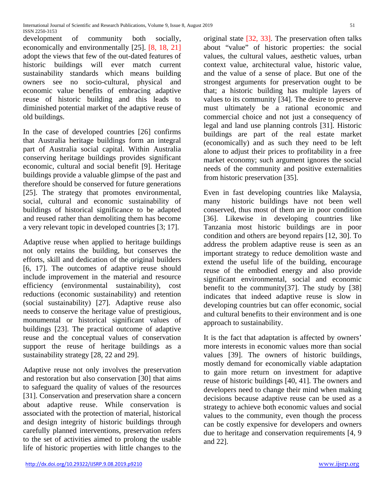development of community both socially, economically and environmentally [25]. [8, 18, 21] adopt the views that few of the out-dated features of historic buildings will ever match current sustainability standards which means building owners see no socio-cultural, physical and economic value benefits of embracing adaptive reuse of historic building and this leads to diminished potential market of the adaptive reuse of old buildings.

In the case of developed countries [26] confirms that Australia heritage buildings form an integral part of Australia social capital. Within Australia conserving heritage buildings provides significant economic, cultural and social benefit [9]. Heritage buildings provide a valuable glimpse of the past and therefore should be conserved for future generations [25]. The strategy that promotes environmental, social, cultural and economic sustainability of buildings of historical significance to be adapted and reused rather than demoliting them has become a very relevant topic in developed countries [3; 17].

Adaptive reuse when applied to heritage buildings not only retains the building, but conserves the efforts, skill and dedication of the original builders [6, 17]. The outcomes of adaptive reuse should include improvement in the material and resource efficiency (environmental sustainability), cost reductions (economic sustainability) and retention (social sustainability) [27]. Adaptive reuse also needs to conserve the heritage value of prestigious, monumental or historical significant values of buildings [23]. The practical outcome of adaptive reuse and the conceptual values of conservation support the reuse of heritage buildings as a sustainability strategy [28, 22 and 29].

Adaptive reuse not only involves the preservation and restoration but also conservation [30] that aims to safeguard the quality of values of the resources [31]. Conservation and preservation share a concern about adaptive reuse. While conservation is associated with the protection of material, historical and design integrity of historic buildings through carefully planned interventions, preservation refers to the set of activities aimed to prolong the usable life of historic properties with little changes to the

original state [32, 33]. The preservation often talks about "value" of historic properties: the social values, the cultural values, aesthetic values, urban context value, architectural value, historic value, and the value of a sense of place. But one of the strongest arguments for preservation ought to be that; a historic building has multiple layers of values to its community [34]. The desire to preserve must ultimately be a rational economic and commercial choice and not just a consequency of legal and land use planning controls [31]. Historic buildings are part of the real estate market (economically) and as such they need to be left alone to adjust their prices to profitability in a free market economy; such argument ignores the social needs of the community and positive externalities from historic preservation [35].

Even in fast developing countries like Malaysia, many historic buildings have not been well conserved, thus most of them are in poor condition [36]. Likewise in developing countries like Tanzania most historic buildings are in poor condition and others are beyond repairs [12, 30]. To address the problem adaptive reuse is seen as an important strategy to reduce demolition waste and extend the useful life of the building, encourage reuse of the embodied energy and also provide significant environmental, social and economic benefit to the community[37]. The study by [38] indicates that indeed adaptive reuse is slow in developing countries but can offer economic, social and cultural benefits to their environment and is one approach to sustainability.

It is the fact that adaptation is affected by owners' more interests in economic values more than social values [39]. The owners of historic buildings, mostly demand for economically viable adaptation to gain more return on investment for adaptive reuse of historic buildings [40, 41]. The owners and developers need to change their mind when making decisions because adaptive reuse can be used as a strategy to achieve both economic values and social values to the community, even though the process can be costly expensive for developers and owners due to heritage and conservation requirements [4, 9 and 22].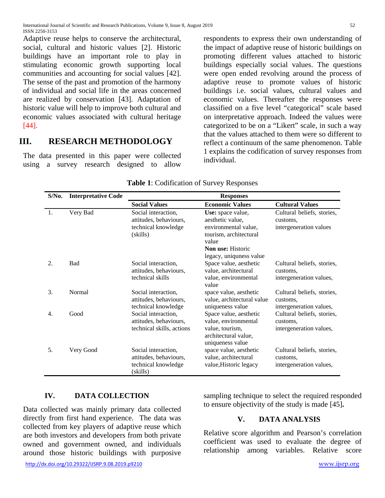Adaptive reuse helps to conserve the architectural, social, cultural and historic values [2]. Historic buildings have an important role to play in stimulating economic growth supporting local communities and accounting for social values [42]. The sense of the past and promotion of the harmony of individual and social life in the areas concerned are realized by conservation [43]. Adaptation of historic value will help to improve both cultural and economic values associated with cultural heritage [44].

# **III. RESEARCH METHODOLOGY**

The data presented in this paper were collected using a survey research designed to allow respondents to express their own understanding of the impact of adaptive reuse of historic buildings on promoting different values attached to historic buildings especially social values. The questions were open ended revolving around the process of adaptive reuse to promote values of historic buildings i.e. social values, cultural values and economic values. Thereafter the responses were classified on a five level "categorical" scale based on interpretative approach. Indeed the values were categorized to be on a "Likert" scale, in such a way that the values attached to them were so different to reflect a continuum of the same phenomenon. Table 1 explains the codification of survey responses from individual.

| $S/N0$ . | <b>Interpretative Code</b> | <b>Responses</b>                                                                 |                                                                                                                                                         |                                                                   |  |  |  |  |  |  |
|----------|----------------------------|----------------------------------------------------------------------------------|---------------------------------------------------------------------------------------------------------------------------------------------------------|-------------------------------------------------------------------|--|--|--|--|--|--|
|          |                            | <b>Social Values</b>                                                             | <b>Economic Values</b>                                                                                                                                  | <b>Cultural Values</b>                                            |  |  |  |  |  |  |
| -1.      | Very Bad                   | Social interaction,<br>attitudes, behaviours,<br>technical knowledge<br>(skills) | Use: space value,<br>aesthetic value.<br>environmental value,<br>tourism, architectural<br>value<br><b>Non use: Historic</b><br>legacy, uniquness value | Cultural beliefs, stories,<br>customs,<br>intergeneration values  |  |  |  |  |  |  |
| 2.       | <b>Bad</b>                 | Social interaction,<br>attitudes, behaviours,<br>technical skills                | Space value, aesthetic<br>value, architectural<br>value, environmental<br>value                                                                         | Cultural beliefs, stories,<br>customs,<br>intergeneration values, |  |  |  |  |  |  |
| 3.       | Normal                     | Social interaction,<br>attitudes, behaviours,<br>technical knowledge             | space value, aesthetic<br>value, architectural value<br>uniqueness value                                                                                | Cultural beliefs, stories,<br>customs,<br>intergeneration values, |  |  |  |  |  |  |
| 4.       | Good                       | Social interaction,<br>attitudes, behaviours,<br>technical skills, actions       | Space value, aesthetic<br>value, environmental<br>value, tourism,<br>architectural value,<br>uniqueness value                                           | Cultural beliefs, stories,<br>customs.<br>intergeneration values, |  |  |  |  |  |  |
| 5.       | Very Good                  | Social interaction,<br>attitudes, behaviours,<br>technical knowledge<br>(skills) | space value, aesthetic<br>value, architectural<br>value, Historic legacy                                                                                | Cultural beliefs, stories,<br>customs,<br>intergeneration values, |  |  |  |  |  |  |

#### **Table 1**: Codification of Survey Responses

## **IV. DATA COLLECTION**

Data collected was mainly primary data collected directly from first hand experience. The data was collected from key players of adaptive reuse which are both investors and developers from both private owned and government owned, and individuals around those historic buildings with purposive

<http://dx.doi.org/10.29322/IJSRP.9.08.2019.p9210> [www.ijsrp.org](http://ijsrp.org/)

sampling technique to select the required responded to ensure objectivity of the study is made [45]**.**

#### **V. DATA ANALYSIS**

Relative score algorithm and Pearson's correlation coefficient was used to evaluate the degree of relationship among variables. Relative score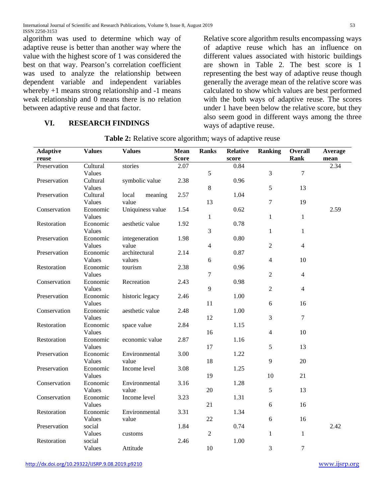algorithm was used to determine which way of adaptive reuse is better than another way where the value with the highest score of 1 was considered the best on that way. Pearson's correlation coefficient was used to analyze the relationship between dependent variable and independent variables whereby  $+1$  means strong relationship and  $-1$  means weak relationship and 0 means there is no relation between adaptive reuse and that factor.

#### **VI. RESEARCH FINDINGS**

Relative score algorithm results encompassing ways of adaptive reuse which has an influence on different values associated with historic buildings are shown in Table 2. The best score is 1 representing the best way of adaptive reuse though generally the average mean of the relative score was calculated to show which values are best performed with the both ways of adaptive reuse. The scores under 1 have been below the relative score, but they also seem good in different ways among the three ways of adaptive reuse.

| <b>Adaptive</b><br><b>Values</b><br><b>Values</b> |          | Mean             | <b>Ranks</b> | <b>Relative</b> | <b>Ranking</b> | <b>Overall</b> | Average          |      |
|---------------------------------------------------|----------|------------------|--------------|-----------------|----------------|----------------|------------------|------|
| reuse                                             |          |                  | <b>Score</b> |                 | score          |                | <b>Rank</b>      | mean |
| Preservation                                      | Cultural | stories          | 2.07         |                 | 0.84           |                |                  | 2.34 |
|                                                   | Values   |                  |              | 5               |                | 3              | $\overline{7}$   |      |
| Preservation                                      | Cultural | symbolic value   | 2.38         |                 | 0.96           |                |                  |      |
|                                                   | Values   |                  |              | $8\,$           |                | 5              | 13               |      |
| Preservation                                      | Cultural | local<br>meaning | 2.57         |                 | 1.04           |                |                  |      |
|                                                   | Values   | value            |              | 13              |                | $\overline{7}$ | 19               |      |
| Conservation                                      | Economic | Uniquiness value | 1.54         |                 | 0.62           |                |                  | 2.59 |
|                                                   | Values   |                  |              | $\,1$           |                | $\mathbf{1}$   | $\mathbf{1}$     |      |
| Restoration                                       | Economic | aesthetic value  | 1.92         |                 | 0.78           |                |                  |      |
|                                                   | Values   |                  |              | 3               |                | $\mathbf{1}$   | $\mathbf{1}$     |      |
| Preservation                                      | Economic | integeneration   | 1.98         |                 | 0.80           |                |                  |      |
|                                                   | Values   | value            |              | 4               |                | $\overline{2}$ | $\overline{4}$   |      |
| Preservation                                      | Economic | architectural    | 2.14         |                 | 0.87           |                |                  |      |
|                                                   | Values   | values           |              | 6               |                | $\overline{4}$ | 10               |      |
| Restoration                                       | Economic | tourism          | 2.38         |                 | 0.96           |                |                  |      |
|                                                   | Values   |                  |              | 7               |                | $\overline{2}$ | $\overline{4}$   |      |
| Conservation                                      | Economic | Recreation       | 2.43         |                 | 0.98           |                |                  |      |
|                                                   | Values   |                  |              | 9               |                | $\overline{2}$ | $\overline{4}$   |      |
| Preservation                                      | Economic | historic legacy  | 2.46         |                 | 1.00           |                |                  |      |
|                                                   | Values   |                  |              | 11              |                | 6              | 16               |      |
| Conservation                                      | Economic | aesthetic value  | 2.48         |                 | 1.00           |                |                  |      |
|                                                   | Values   |                  |              | 12              |                | $\mathfrak{Z}$ | $\boldsymbol{7}$ |      |
| Restoration                                       | Economic | space value      | 2.84         |                 | 1.15           |                |                  |      |
|                                                   | Values   |                  |              | 16              |                | $\overline{4}$ | 10               |      |
| Restoration                                       | Economic | economic value   | 2.87         |                 | 1.16           |                |                  |      |
|                                                   | Values   |                  |              | 17              |                | 5              | 13               |      |
| Preservation                                      | Economic | Environmental    | 3.00         |                 | 1.22           |                |                  |      |
|                                                   | Values   | value            |              | 18              |                | 9              | 20               |      |
| Preservation                                      | Economic | Income level     | 3.08         |                 | 1.25           |                |                  |      |
|                                                   | Values   |                  |              | 19              |                | 10             | 21               |      |
| Conservation                                      | Economic | Environmental    | 3.16         |                 | 1.28           |                |                  |      |
|                                                   | Values   | value            |              | 20              |                | 5              | 13               |      |
| Conservation                                      | Economic | Income level     | 3.23         |                 | 1.31           |                |                  |      |
|                                                   | Values   |                  |              | 21              |                | 6              | 16               |      |
| Restoration                                       | Economic | Environmental    | 3.31         |                 | 1.34           |                |                  |      |
|                                                   | Values   | value            |              | 22              |                | 6              | 16               |      |
| Preservation                                      | social   |                  | 1.84         |                 | 0.74           |                |                  | 2.42 |
|                                                   | Values   | customs          |              | $\overline{2}$  |                | $\mathbf{1}$   | $\mathbf{1}$     |      |
| Restoration                                       | social   |                  | 2.46         |                 | 1.00           |                |                  |      |
|                                                   | Values   | Attitude         |              | 10              |                | 3              | $\tau$           |      |

**Table 2:** Relative score algorithm; ways of adaptive reuse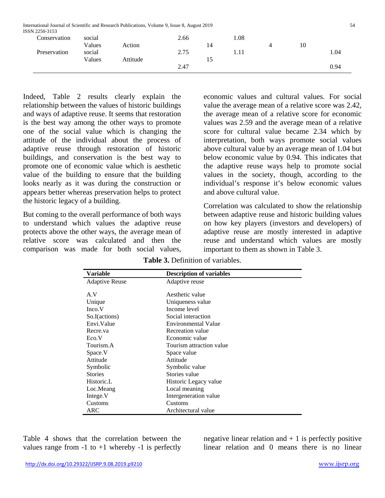| ISSN 2250-3153 |        | International Journal of Scientific and Research Publications, Volume 9, Issue 8, August 2019 |      |    |      |    | 54   |
|----------------|--------|-----------------------------------------------------------------------------------------------|------|----|------|----|------|
| Conservation   | social |                                                                                               | 2.66 |    | 1.08 |    |      |
|                | Values | Action                                                                                        |      | 14 |      | 10 |      |
| Preservation   | social |                                                                                               | 2.75 |    | 1.11 |    | 1.04 |
|                | Values | Attitude                                                                                      |      | 15 |      |    |      |
|                |        |                                                                                               | 2.47 |    |      |    | 0.94 |

Indeed, Table 2 results clearly explain the relationship between the values of historic buildings and ways of adaptive reuse. It seems that restoration is the best way among the other ways to promote one of the social value which is changing the attitude of the individual about the process of adaptive reuse through restoration of historic buildings, and conservation is the best way to promote one of economic value which is aesthetic value of the building to ensure that the building looks nearly as it was during the construction or appears better whereas preservation helps to protect the historic legacy of a building.

But coming to the overall performance of both ways to understand which values the adaptive reuse protects above the other ways, the average mean of relative score was calculated and then the comparison was made for both social values, economic values and cultural values. For social value the average mean of a relative score was 2.42, the average mean of a relative score for economic values was 2.59 and the average mean of a relative score for cultural value became 2.34 which by interpretation, both ways promote social values above cultural value by an average mean of 1.04 but below economic value by 0.94. This indicates that the adaptive reuse ways help to promote social values in the society, though, according to the individual's response it's below economic values and above cultural value.

Correlation was calculated to show the relationship between adaptive reuse and historic building values on how key players (investors and developers) of adaptive reuse are mostly interested in adaptive reuse and understand which values are mostly important to them as shown in Table 3.

**Table 3.** Definition of variables.

| Variable              | <b>Description of variables</b> |  |
|-----------------------|---------------------------------|--|
| <b>Adaptive Reuse</b> | Adaptive reuse                  |  |
| A.V                   | Aesthetic value                 |  |
| Unique                | Uniqueness value                |  |
|                       | Income level                    |  |
| Inco.V                |                                 |  |
| So.I(actions)         | Social interaction              |  |
| Envi.Value            | <b>Environmental Value</b>      |  |
| Recre.va              | Recreation value                |  |
| Eco.V                 | Economic value                  |  |
| Tourism.A             | Tourism attraction value        |  |
| Space.V               | Space value                     |  |
| Attitude              | Attitude                        |  |
| Symbolic              | Symbolic value                  |  |
| <b>Stories</b>        | Stories value                   |  |
| Historic.L            | Historic Legacy value           |  |
| Loc.Meang             | Local meaning                   |  |
| Intege.V              | Intergeneration value           |  |
| Customs               | Customs                         |  |
| ARC                   | Architectural value             |  |

Table 4 shows that the correlation between the values range from  $-1$  to  $+1$  whereby  $-1$  is perfectly negative linear relation and  $+1$  is perfectly positive linear relation and 0 means there is no linear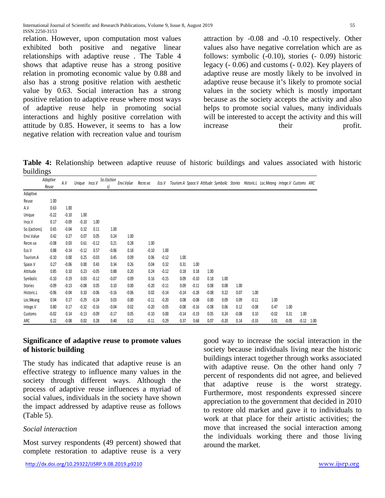relation. However, upon computation most values exhibited both positive and negative linear relationships with adaptive reuse . The Table 4 shows that adaptive reuse has a strong positive relation in promoting economic value by 0.88 and also has a strong positive relation with aesthetic value by 0.63. Social interaction has a strong positive relation to adaptive reuse where most ways of adaptive reuse help in promoting social interactions and highly positive correlation with attitude by 0.85. However, it seems to has a low negative relation with recreation value and tourism

attraction by -0.08 and -0.10 respectively. Other values also have negative correlation which are as follows: symbolic (-0.10), stories (- 0.09) historic legacy (- 0.06) and customs (- 0.02). Key players of adaptive reuse are mostly likely to be involved in adaptive reuse because it's likely to promote social values in the society which is mostly important because as the society accepts the activity and also helps to promote social values, many individuals will be interested to accept the activity and this will increase their profit.

**Table 4:** Relationship between adaptive reuuse of historic buildings and values associated with historic buildings

|               | Adaptive<br>Reuse | A.V     | Unique Inco.V |         | So.I(action<br>s) | Envi. Value | Recre.va | Eco.V   |         |         |         |         |         |         | Tourism.A Space.V Attitude Symbolic Stories Historic.L Loc.Meang Intege.V Customs ARC |         |         |      |
|---------------|-------------------|---------|---------------|---------|-------------------|-------------|----------|---------|---------|---------|---------|---------|---------|---------|---------------------------------------------------------------------------------------|---------|---------|------|
| Adaptive      |                   |         |               |         |                   |             |          |         |         |         |         |         |         |         |                                                                                       |         |         |      |
| Reuse         | 1.00              |         |               |         |                   |             |          |         |         |         |         |         |         |         |                                                                                       |         |         |      |
| A.V           | 0.63              | 1.00    |               |         |                   |             |          |         |         |         |         |         |         |         |                                                                                       |         |         |      |
| Unique        | $-0.22$           | $-0.10$ | 1.00          |         |                   |             |          |         |         |         |         |         |         |         |                                                                                       |         |         |      |
| Inco.V        | 0.17              | $-0.09$ | $-0.10$       | 1.00    |                   |             |          |         |         |         |         |         |         |         |                                                                                       |         |         |      |
| So.I(actions) | 0.65              | $-0.04$ | 0.32          | 0.11    | 1.00              |             |          |         |         |         |         |         |         |         |                                                                                       |         |         |      |
| Envi.Value    | 0.42              | 0.27    | 0.07          | 0.05    | 0.24              | 1.00        |          |         |         |         |         |         |         |         |                                                                                       |         |         |      |
| Recre.va      | $-0.08$           | 0.03    | 0.61          | $-0.12$ | 0.21              | 0.28        | 1.00     |         |         |         |         |         |         |         |                                                                                       |         |         |      |
| Eco.V         | 0.88              | $-0.14$ | $-0.12$       | 0.57    | $-0.06$           | 0.18        | $-0.10$  | 1.00    |         |         |         |         |         |         |                                                                                       |         |         |      |
| Tourism.A     | $-0.10$           | 0.00    | 0.25          | $-0.03$ | 0.45              | 0.09        | 0.06     | $-0.12$ | 1.00    |         |         |         |         |         |                                                                                       |         |         |      |
| Space.V       | 0.27              | $-0.06$ | 0.00          | 0.43    | 0.34              | 0.26        | 0.04     | 0.32    | 0.31    | 1.00    |         |         |         |         |                                                                                       |         |         |      |
| Attitude      | 0.85              | 0.10    | 0.23          | $-0.05$ | 0.88              | 0.20        | 0.24     | $-0.12$ | 0.18    | 0.18    | 1.00    |         |         |         |                                                                                       |         |         |      |
| Symbolic      | $-0.10$           | 0.19    | 0.03          | $-0.12$ | $-0.07$           | 0.09        | 0.16     | $-0.15$ | 0.09    | $-0.10$ | 0.18    | 1.00    |         |         |                                                                                       |         |         |      |
| Stories       | $-0.09$           | $-0.13$ | $-0.08$       | 0.05    | 0.10              | 0.00        | $-0.20$  | $-0.11$ | 0.09    | $-0.11$ | 0.08    | 0.08    | 1.00    |         |                                                                                       |         |         |      |
| Historic.L    | $-0.06$           | $-0.04$ | 0.10          | $-0.06$ | $-0.16$           | $-0.06$     | 0.02     | $-0.14$ | $-0.14$ | $-0.28$ | $-0.08$ | 0.22    | 0.07    | 1.00    |                                                                                       |         |         |      |
| Loc.Meang     | 0.04              | 0.17    | $-0.29$       | $-0.24$ | 0.03              | 0.00        | $-0.11$  | $-0.20$ | 0.08    | $-0.08$ | 0.00    | 0.09    | 0.09    | $-0.11$ | 1.00                                                                                  |         |         |      |
| Intege.V      | 0.80              | 0.17    | $-0.32$       | $-0.16$ | $-0.04$           | 0.02        | $-0.20$  | $-0.05$ | $-0.08$ | $-0.16$ | $-0.08$ | 0.06    | 0.12    | $-0.08$ | 0.47                                                                                  | 1.00    |         |      |
| Customs       | $-0.02$           | 0.14    | $-0.13$       | $-0.09$ | $-0.17$           | 0.05        | $-0.10$  | 0.00    | $-0.14$ | $-0.19$ | 0.05    | 0.24    | $-0.08$ | 0.10    | $-0.02$                                                                               | 0.31    | 1.00    |      |
| ARC           | 0.22              | $-0.08$ | 0.02          | 0.28    | 0.40              | 0.22        | $-0.11$  | 0.29    | 0.37    | 0.68    | 0.07    | $-0.20$ | 0.14    | $-0.33$ | 0.01                                                                                  | $-0.05$ | $-0.12$ | 1.00 |

#### **Significance of adaptive reuse to promote values of historic building**

The study has indicated that adaptive reuse is an effective strategy to influence many values in the society through different ways. Although the process of adaptive reuse influences a myriad of social values, individuals in the society have shown the impact addressed by adaptive reuse as follows (Table 5).

#### *Social interaction*

Most survey respondents (49 percent) showed that complete restoration to adaptive reuse is a very

good way to increase the social interaction in the society because individuals living near the historic buildings interact together through works associated with adaptive reuse. On the other hand only 7 percent of respondents did not agree, and believed that adaptive reuse is the worst strategy. Furthermore, most respondents expressed sincere appreciation to the government that decided in 2010 to restore old market and gave it to individuals to work at that place for their artistic activities; the move that increased the social interaction among the individuals working there and those living around the market.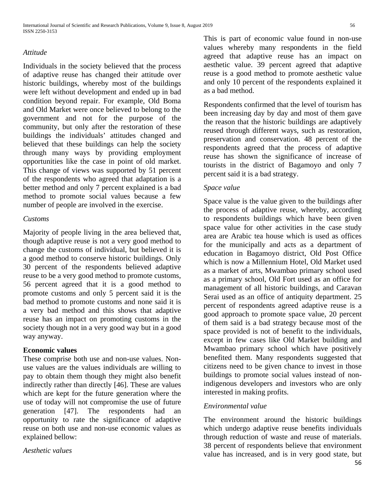#### *Attitude*

Individuals in the society believed that the process of adaptive reuse has changed their attitude over historic buildings, whereby most of the buildings were left without development and ended up in bad condition beyond repair. For example, Old Boma and Old Market were once believed to belong to the government and not for the purpose of the community, but only after the restoration of these buildings the individuals' attitudes changed and believed that these buildings can help the society through many ways by providing employment opportunities like the case in point of old market. This change of views was supported by 51 percent of the respondents who agreed that adaptation is a better method and only 7 percent explained is a bad method to promote social values because a few number of people are involved in the exercise.

#### *Customs*

Majority of people living in the area believed that, though adaptive reuse is not a very good method to change the customs of individual, but believed it is a good method to conserve historic buildings. Only 30 percent of the respondents believed adaptive reuse to be a very good method to promote customs, 56 percent agreed that it is a good method to promote customs and only 5 percent said it is the bad method to promote customs and none said it is a very bad method and this shows that adaptive reuse has an impact on promoting customs in the society though not in a very good way but in a good way anyway.

#### **Economic values**

These comprise both use and non-use values. Nonuse values are the values individuals are willing to pay to obtain them though they might also benefit indirectly rather than directly [46]. These are values which are kept for the future generation where the use of today will not compromise the use of future generation [47]. The respondents had an opportunity to rate the significance of adaptive reuse on both use and non-use economic values as explained bellow:

*Aesthetic values* 

This is part of economic value found in non-use values whereby many respondents in the field agreed that adaptive reuse has an impact on aesthetic value. 39 percent agreed that adaptive reuse is a good method to promote aesthetic value and only 10 percent of the respondents explained it as a bad method.

Respondents confirmed that the level of tourism has been increasing day by day and most of them gave the reason that the historic buildings are adaptively reused through different ways, such as restoration, preservation and conservation. 48 percent of the respondents agreed that the process of adaptive reuse has shown the significance of increase of tourists in the district of Bagamoyo and only 7 percent said it is a bad strategy.

#### *Space value*

Space value is the value given to the buildings after the process of adaptive reuse, whereby, according to respondents buildings which have been given space value for other activities in the case study area are Arabic tea house which is used as offices for the municipally and acts as a department of education in Bagamoyo district, Old Post Office which is now a Millennium Hotel, Old Market used as a market of arts, Mwambao primary school used as a primary school, Old Fort used as an office for management of all historic buildings, and Caravan Serai used as an office of antiquity department. 25 percent of respondents agreed adaptive reuse is a good approach to promote space value, 20 percent of them said is a bad strategy because most of the space provided is not of benefit to the individuals, except in few cases like Old Market building and Mwambao primary school which have positively benefited them. Many respondents suggested that citizens need to be given chance to invest in those buildings to promote social values instead of nonindigenous developers and investors who are only interested in making profits.

#### *Environmental value*

56 The environment around the historic buildings which undergo adaptive reuse benefits individuals through reduction of waste and reuse of materials. 38 percent of respondents believe that environment value has increased, and is in very good state, but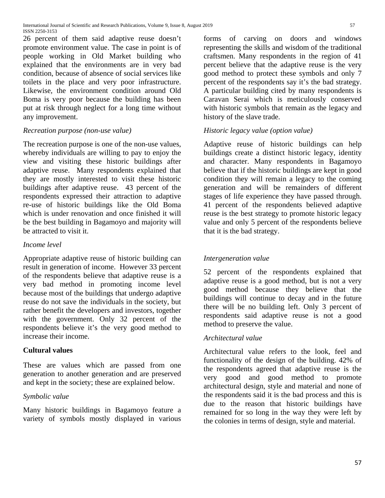26 percent of them said adaptive reuse doesn't promote environment value. The case in point is of people working in Old Market building who explained that the environments are in very bad condition, because of absence of social services like toilets in the place and very poor infrastructure. Likewise, the environment condition around Old Boma is very poor because the building has been put at risk through neglect for a long time without any improvement.

## *Recreation purpose (non-use value)*

The recreation purpose is one of the non-use values, whereby individuals are willing to pay to enjoy the view and visiting these historic buildings after adaptive reuse. Many respondents explained that they are mostly interested to visit these historic buildings after adaptive reuse. 43 percent of the respondents expressed their attraction to adaptive re-use of historic buildings like the Old Boma which is under renovation and once finished it will be the best building in Bagamoyo and majority will be attracted to visit it.

## *Income level*

Appropriate adaptive reuse of historic building can result in generation of income. However 33 percent of the respondents believe that adaptive reuse is a very bad method in promoting income level because most of the buildings that undergo adaptive reuse do not save the individuals in the society, but rather benefit the developers and investors, together with the government. Only 32 percent of the respondents believe it's the very good method to increase their income.

## **Cultural values**

These are values which are passed from one generation to another generation and are preserved and kept in the society; these are explained below.

## *Symbolic value*

Many historic buildings in Bagamoyo feature a variety of symbols mostly displayed in various

forms of carving on doors and windows representing the skills and wisdom of the traditional craftsmen. Many respondents in the region of 41 percent believe that the adaptive reuse is the very good method to protect these symbols and only 7 percent of the respondents say it's the bad strategy. A particular building cited by many respondents is Caravan Serai which is meticulously conserved with historic symbols that remain as the legacy and history of the slave trade.

## *Historic legacy value (option value)*

Adaptive reuse of historic buildings can help buildings create a distinct historic legacy, identity and character. Many respondents in Bagamoyo believe that if the historic buildings are kept in good condition they will remain a legacy to the coming generation and will be remainders of different stages of life experience they have passed through. 41 percent of the respondents believed adaptive reuse is the best strategy to promote historic legacy value and only 5 percent of the respondents believe that it is the bad strategy.

## *Intergeneration value*

52 percent of the respondents explained that adaptive reuse is a good method, but is not a very good method because they believe that the buildings will continue to decay and in the future there will be no building left. Only 3 percent of respondents said adaptive reuse is not a good method to preserve the value.

## *Architectural value*

Architectural value refers to the look, feel and functionality of the design of the building. 42% of the respondents agreed that adaptive reuse is the very good and good method to promote architectural design, style and material and none of the respondents said it is the bad process and this is due to the reason that historic buildings have remained for so long in the way they were left by the colonies in terms of design, style and material.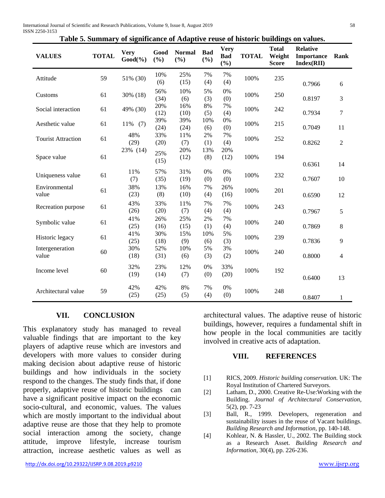|  | Table 5. Summary of significance of Adaptive reuse of historic buildings on values. |  |
|--|-------------------------------------------------------------------------------------|--|

| <b>VALUES</b>             | <b>TOTAL</b> | <b>Very</b><br>$Good(\% )$ | Good<br>(%) | <b>Normal</b><br>(%) | <b>Bad</b><br>(%) | <b>Very</b><br><b>Bad</b><br>(%) | <b>TOTAL</b> | <b>Total</b><br>Weight<br><b>Score</b> | <b>Relative</b><br>Importance<br>Index(RII) | Rank           |
|---------------------------|--------------|----------------------------|-------------|----------------------|-------------------|----------------------------------|--------------|----------------------------------------|---------------------------------------------|----------------|
| Attitude                  | 59           | 51% (30)                   | 10%<br>(6)  | 25%<br>(15)          | 7%<br>(4)         | 7%<br>(4)                        | 100%         | 235                                    | 0.7966                                      | 6              |
| Customs                   | 61           | 30% (18)                   | 56%<br>(34) | 10%<br>(6)           | 5%<br>(3)         | 0%<br>(0)                        | 100%         | 250                                    | 0.8197                                      | 3              |
| Social interaction        | 61           | 49% (30)                   | 20%<br>(12) | 16%<br>(10)          | 8%<br>(5)         | 7%<br>(4)                        | 100%         | 242                                    | 0.7934                                      | $\tau$         |
| Aesthetic value           | 61           | 11%<br>(7)                 | 39%<br>(24) | 39%<br>(24)          | 10%<br>(6)        | 0%<br>(0)                        | 100%         | 215                                    | 0.7049                                      | 11             |
| <b>Tourist Attraction</b> | 61           | 48%<br>(29)                | 33%<br>(20) | 11%<br>(7)           | 2%<br>(1)         | 7%<br>(4)                        | 100%         | 252                                    | 0.8262                                      | $\overline{2}$ |
| Space value               | 61           | 23% (14)                   | 25%<br>(15) | 20%<br>(12)          | 13%<br>(8)        | 20%<br>(12)                      | 100%         | 194                                    | 0.6361                                      | 14             |
| Uniqueness value          | 61           | 11%<br>(7)                 | 57%<br>(35) | 31%<br>(19)          | 0%<br>(0)         | 0%<br>(0)                        | 100%         | 232                                    | 0.7607                                      | 10             |
| Environmental<br>value    | 61           | 38%<br>(23)                | 13%<br>(8)  | 16%<br>(10)          | 7%<br>(4)         | 26%<br>(16)                      | 100%         | 201                                    | 0.6590                                      | 12             |
| Recreation purpose        | 61           | 43%<br>(26)                | 33%<br>(20) | 11%<br>(7)           | 7%<br>(4)         | 7%<br>(4)                        | 100%         | 243                                    | 0.7967                                      | 5              |
| Symbolic value            | 61           | 41%<br>(25)                | 26%<br>(16) | 25%<br>(15)          | 2%<br>(1)         | 7%<br>(4)                        | 100%         | 240                                    | 0.7869                                      | 8              |
| Historic legacy           | 61           | 41%<br>(25)                | 30%<br>(18) | 15%<br>(9)           | 10%<br>(6)        | 5%<br>(3)                        | 100%         | 239                                    | 0.7836                                      | 9              |
| Intergeneration<br>value  | 60           | 30%<br>(18)                | 52%<br>(31) | 10%<br>(6)           | 5%<br>(3)         | 3%<br>(2)                        | 100%         | 240                                    | 0.8000                                      | 4              |
| Income level              | 60           | 32%<br>(19)                | 23%<br>(14) | 12%<br>(7)           | 0%<br>(0)         | 33%<br>(20)                      | 100%         | 192                                    | 0.6400                                      | 13             |
| Architectural value       | 59           | 42%<br>(25)                | 42%<br>(25) | 8%<br>(5)            | 7%<br>(4)         | 0%<br>(0)                        | 100%         | 248                                    | 0.8407                                      | 1              |

#### **VII. CONCLUSION**

This explanatory study has managed to reveal valuable findings that are important to the key players of adaptive reuse which are investors and developers with more values to consider during making decision about adaptive reuse of historic buildings and how individuals in the society respond to the changes. The study finds that, if done properly, adaptive reuse of historic buildings can have a significant positive impact on the economic socio-cultural, and economic, values. The values which are mostly important to the individual about adaptive reuse are those that they help to promote social interaction among the society, change attitude, improve lifestyle, increase tourism attraction, increase aesthetic values as well as

architectural values. The adaptive reuse of historic buildings, however, requires a fundamental shift in how people in the local communities are tacitly involved in creative acts of adaptation.

#### **VIII. REFERENCES**

- [1] RICS, 2009. *Historic building conservation.* UK: The Royal Institution of Chartered Surveyors.
- [2] Latham, D., 2000. Creative Re-Use:Working with the Building. *Journal of Architectural Conservation,*  5(2), pp. 7-23
- [3] Ball, R., 1999. Developers, regeneration and sustainability issues in the reuse of Vacant buildings. *Building Research and Information,* pp. 140-148.
- [4] Kohlear, N. & Hassler, U., 2002. The Building stock as a Research Asset. *Building Research and Information,* 30(4), pp. 226-236.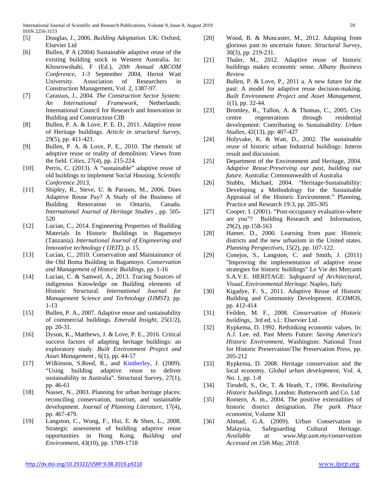- [5] Douglas, J., 2006. *Building Adoptation.* UK: Oxford, Elsevier Ltd
- [6] Bullen, P A (2004) Sustainable adaptive reuse of the existing building stock in Western Australia. In: Khosrowshahi, F (Ed.), *20th Annual ARCOM Conference*, 1-3 September 2004, Heriot Watt University. Association of Researchers in Construction Management, Vol. 2, 1387-97.
- [7] Carassus, J., 2004. *The Construction Sector System: An International Framework,* Netherlands: International Council for Research and Innovation in Building and Construction CIB
- [8] Bullen, P. A. & Love, P. E. D., 2011. Adaptive reuse of Heritage buildings. *Article in structural Survey,*  29(5), pp. 411-421.
- [9] Bullen, P. A. & Love, P. E., 2010. The rhetoric of adoptive reuse or reality of demolition: Views from the field. *Cities,* 27(4), pp. 215-224.
- [10] Perris, C. (2013). A "sustainable" adaptive reuse of old buildings to implement Social Housing. *Scientific Conference 2013*,
- [11] Shipley, R., Steve, U. & Parsons, M., 2006. Does Adaptive Reuse Pay? A Study of the Business of Building Renovation in Ontario, Canada. *International Journal of Heritage Studies ,* pp. 505- 520
- [12] Lucian, C., 2014. Engineering Properties of Building Materials In Historic Buildings in Bagamoyo (Tanzania). *International Journal of Engineering and Innovative technology ( IJEIT),* p. 15.
- [13] Lucian, C., 2010. Conservation and Maintainance of the Old Boma Building in Bagamoyo. *Conservation and Management of Historic Buildings,* pp. 1-16
- [14] Lucian, C. & Samwel, A., 2013. Tracing Sources of indigenous Knowledge on Building elements of Historic Structural. *International Journal for Management Science and Technology (IJMST),* pp. 1-13
- [15] Bullen, P. A., 2007. Adaptive reuse and sustainability of commercial buildings. *Emerald Insight,* 25(1/2), pp. 20-31.
- [16] Dyson, K., Matthews, J. & Love, P. E., 2016. Critical success factors of adapting heritage buildings: an exploratory study. *Built Environment Project and Asset Management ,* 6(1), pp. 44-57
- [17] Wilkinson, S.Reed, R., and Kimberley, J. (2009). "Using building adaptive reuse to deliver sustainability in Australia". Structural Survey, 27(1), pp. 46-61
- [18] Nasser, N., 2003. Planning for urban heritage places: reconciling conservation, tourism, and sustainable development. *Journal of Planning Literature,* 17(4), pp. 467-479.
- [19] Langston, C., Wong, F., Hui, E. & Shen, L., 2008. Strategic assessment of building adaptive reuse opportunities in Hong Kong. *Building and Environment,* 43(10), pp. 1709-1718
- [20] Wood, B. & Muncaster, M., 2012. Adapting from glorious past to uncertain future. *Structural Survey,*  30(3), pp. 219-231.
- [21] Thaler, M., 2012. Adaptive reuse of historic buildings makes economic sense. *Albany Business Review*
- [22] Bullen, P. & Love, P., 2011 a. A new future for the past: A model for adaptive reuse decision-making. *Built Environment Project and Asset Management,*  1(1), pp. 32-44.
- [23] Bromley, R., Tallon, A. & Thomas, C., 2005. City centre regenerations through residential development: Contributing to Sustainability. *Urban Studies,* 42(13), pp. 407-427
- [24] Holyvake, K. & Watt, D., 2002. The sustainable reuse of historic urban Industrial buildings: Interm result and discussion.
- [25] Department of the Environment and Heritage, 2004. *Adaptive Reuse:Preserving our past, building our future.* Australia: Commonwealth of Australia
- [26] Stubbs, Michael, 2004. "Heritage-Sustainability: Developing a Methodology for the Sustainable Appraisal of the Historic Environment." Planning, Practice and Research 19:3, pp. 285-305
- [27] Cooper, I. (2001). "Post-occupancy evaluation-where are you"? Building Research and Information, 29(2), pp.158-163
- [28] Hamer, D., 2000. Learning from past: Historic districts and the new urbanism in the United states. *Planning Perspectives,* 15(2), pp. 107-122.
- [29] Conejos, S., Langston, C. and Smith, J. (2011) "Improving the implementation of adaptive reuse strategies for historic buildings" Le Vie dei Mercanti S.A.V.E. HERITAGE: *Safeguard of Architectural, Visual, Environmental Heritage*. Naples, Italy
- [30] Kigadye, F. S., 2011. Adaptive Reuse of Historic Building and Community Development. *ICOMOS,*  pp. 412-414
- [31] Feilden, M. F., 2008. *Conservation of Historic buildings,.* 3rd ed. s.l.: Elservier Ltd .
- [32] Rypkema, D. 1992. Rethinking economic values, In: A.J. Lee. ed. Past Meets Future: *Saving America's Historic Environment*, Washington: National Trust for Historic Preservation/The Preservation Press, pp. 205-212
- [33] Rypkema, D. 2008. Heritage conservation and the local economy. *Global urban development*, Vol. 4, No. 1, pp. 1-8
- [34] Tiesdell, S., Oc, T. & Heath, T., 1996. *Revitalizing Historic buildings.* London: Butterworth and Co. Ltd
- [35] Romero, A. m., 2004. The positive externalities of historic district designation. *The park Place economist,* Volume XII
- [36] Ahmad, G.A. (2009). Urban Conservation in Malaysia, Safeguarding Cultural Heritage.<br>Available at www.hbp.usm.my/conservation *Available at www.hbp.usm.my/conservation Accessed on 15th May, 2018*.